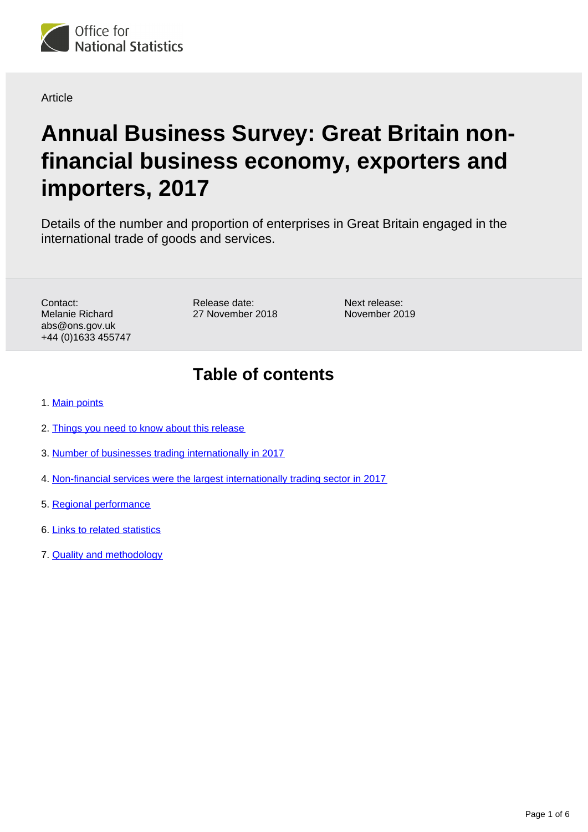

#### Article

# **Annual Business Survey: Great Britain nonfinancial business economy, exporters and importers, 2017**

Details of the number and proportion of enterprises in Great Britain engaged in the international trade of goods and services.

Contact: Melanie Richard abs@ons.gov.uk +44 (0)1633 455747 Release date: 27 November 2018 Next release: November 2019

### **Table of contents**

- 1. [Main points](#page-1-0)
- 2. [Things you need to know about this release](#page-1-1)
- 3. [Number of businesses trading internationally in 2017](#page-2-0)
- 4. [Non-financial services were the largest internationally trading sector in 2017](#page-3-0)
- 5. [Regional performance](#page-4-0)
- 6. [Links to related statistics](#page-5-0)
- 7. [Quality and methodology](#page-5-1)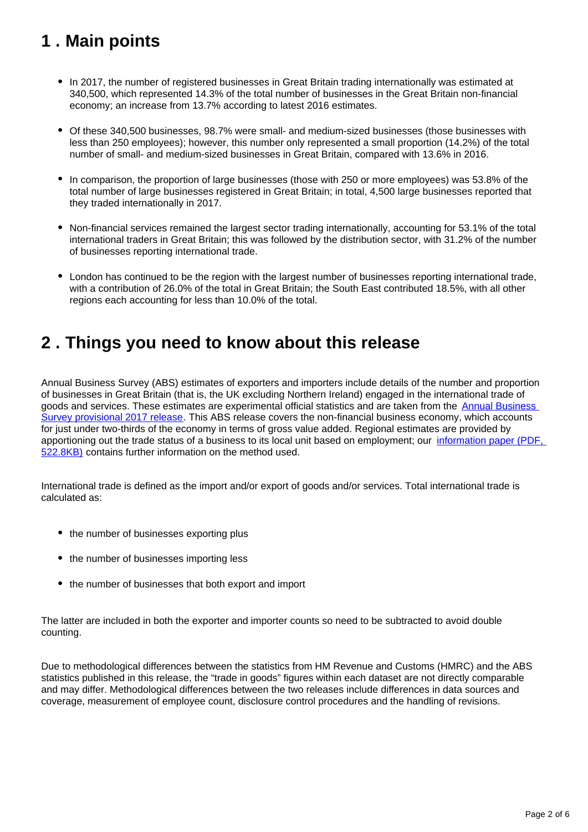# <span id="page-1-0"></span>**1 . Main points**

- In 2017, the number of registered businesses in Great Britain trading internationally was estimated at 340,500, which represented 14.3% of the total number of businesses in the Great Britain non-financial economy; an increase from 13.7% according to latest 2016 estimates.
- Of these 340,500 businesses, 98.7% were small- and medium-sized businesses (those businesses with less than 250 employees); however, this number only represented a small proportion (14.2%) of the total number of small- and medium-sized businesses in Great Britain, compared with 13.6% in 2016.
- In comparison, the proportion of large businesses (those with 250 or more employees) was 53.8% of the total number of large businesses registered in Great Britain; in total, 4,500 large businesses reported that they traded internationally in 2017.
- Non-financial services remained the largest sector trading internationally, accounting for 53.1% of the total international traders in Great Britain; this was followed by the distribution sector, with 31.2% of the number of businesses reporting international trade.
- London has continued to be the region with the largest number of businesses reporting international trade, with a contribution of 26.0% of the total in Great Britain; the South East contributed 18.5%, with all other regions each accounting for less than 10.0% of the total.

### <span id="page-1-1"></span>**2 . Things you need to know about this release**

Annual Business Survey (ABS) estimates of exporters and importers include details of the number and proportion of businesses in Great Britain (that is, the UK excluding Northern Ireland) engaged in the international trade of goods and services. These estimates are experimental official statistics and are taken from the [Annual Business](https://www.ons.gov.uk/businessindustryandtrade/business/businessservices/bulletins/uknonfinancialbusinesseconomy/2017provisionalresults)  [Survey provisional 2017 release.](https://www.ons.gov.uk/businessindustryandtrade/business/businessservices/bulletins/uknonfinancialbusinesseconomy/2017provisionalresults) This ABS release covers the non-financial business economy, which accounts for just under two-thirds of the economy in terms of gross value added. Regional estimates are provided by apportioning out the trade status of a business to its local unit based on employment; our information paper (PDF, [522.8KB\)](http://webarchive.nationalarchives.gov.uk/20160105160709/http:/www.ons.gov.uk/ons/guide-method/method-quality/specific/business-and-energy/annual-business-survey/quality-and-methods/information-paper--annual-business-survey--abs---exporters-and-importers-in-great-britain--2014.pdf) contains further information on the method used.

International trade is defined as the import and/or export of goods and/or services. Total international trade is calculated as:

- the number of businesses exporting plus
- the number of businesses importing less
- the number of businesses that both export and import

The latter are included in both the exporter and importer counts so need to be subtracted to avoid double counting.

Due to methodological differences between the statistics from HM Revenue and Customs (HMRC) and the ABS statistics published in this release, the "trade in goods" figures within each dataset are not directly comparable and may differ. Methodological differences between the two releases include differences in data sources and coverage, measurement of employee count, disclosure control procedures and the handling of revisions.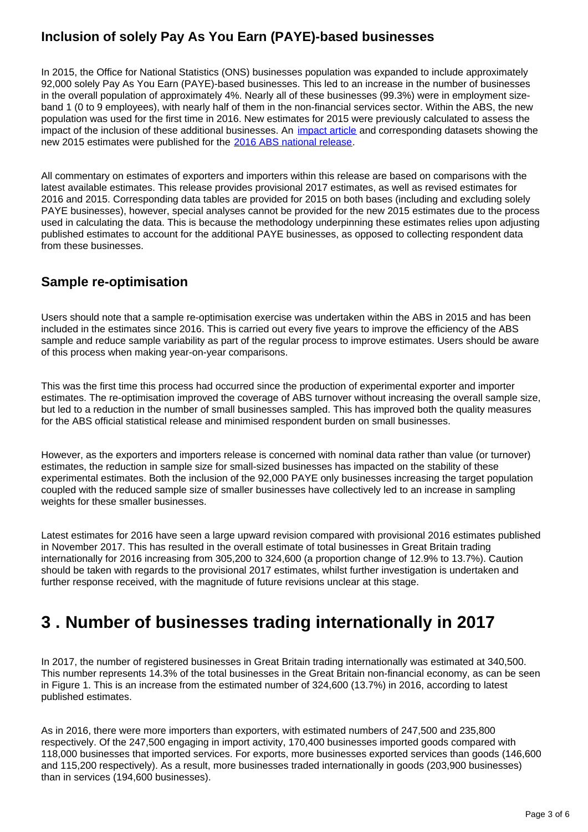### **Inclusion of solely Pay As You Earn (PAYE)-based businesses**

In 2015, the Office for National Statistics (ONS) businesses population was expanded to include approximately 92,000 solely Pay As You Earn (PAYE)-based businesses. This led to an increase in the number of businesses in the overall population of approximately 4%. Nearly all of these businesses (99.3%) were in employment sizeband 1 (0 to 9 employees), with nearly half of them in the non-financial services sector. Within the ABS, the new population was used for the first time in 2016. New estimates for 2015 were previously calculated to assess the impact of the inclusion of these additional businesses. An [impact article](https://www.ons.gov.uk/businessindustryandtrade/business/businessservices/articles/impactonthe2015annualbusinesssurveyresultsresultingfromchangestoimprovecoverageofthestandardbusinesspopulation/2017-10-20) and corresponding datasets showing the new 2015 estimates were published for the [2016 ABS national release.](https://www.ons.gov.uk/businessindustryandtrade/business/businessservices/bulletins/uknonfinancialbusinesseconomy/2016revisedresults)

All commentary on estimates of exporters and importers within this release are based on comparisons with the latest available estimates. This release provides provisional 2017 estimates, as well as revised estimates for 2016 and 2015. Corresponding data tables are provided for 2015 on both bases (including and excluding solely PAYE businesses), however, special analyses cannot be provided for the new 2015 estimates due to the process used in calculating the data. This is because the methodology underpinning these estimates relies upon adjusting published estimates to account for the additional PAYE businesses, as opposed to collecting respondent data from these businesses.

### **Sample re-optimisation**

Users should note that a sample re-optimisation exercise was undertaken within the ABS in 2015 and has been included in the estimates since 2016. This is carried out every five years to improve the efficiency of the ABS sample and reduce sample variability as part of the regular process to improve estimates. Users should be aware of this process when making year-on-year comparisons.

This was the first time this process had occurred since the production of experimental exporter and importer estimates. The re-optimisation improved the coverage of ABS turnover without increasing the overall sample size, but led to a reduction in the number of small businesses sampled. This has improved both the quality measures for the ABS official statistical release and minimised respondent burden on small businesses.

However, as the exporters and importers release is concerned with nominal data rather than value (or turnover) estimates, the reduction in sample size for small-sized businesses has impacted on the stability of these experimental estimates. Both the inclusion of the 92,000 PAYE only businesses increasing the target population coupled with the reduced sample size of smaller businesses have collectively led to an increase in sampling weights for these smaller businesses.

Latest estimates for 2016 have seen a large upward revision compared with provisional 2016 estimates published in November 2017. This has resulted in the overall estimate of total businesses in Great Britain trading internationally for 2016 increasing from 305,200 to 324,600 (a proportion change of 12.9% to 13.7%). Caution should be taken with regards to the provisional 2017 estimates, whilst further investigation is undertaken and further response received, with the magnitude of future revisions unclear at this stage.

### <span id="page-2-0"></span>**3 . Number of businesses trading internationally in 2017**

In 2017, the number of registered businesses in Great Britain trading internationally was estimated at 340,500. This number represents 14.3% of the total businesses in the Great Britain non-financial economy, as can be seen in Figure 1. This is an increase from the estimated number of 324,600 (13.7%) in 2016, according to latest published estimates.

As in 2016, there were more importers than exporters, with estimated numbers of 247,500 and 235,800 respectively. Of the 247,500 engaging in import activity, 170,400 businesses imported goods compared with 118,000 businesses that imported services. For exports, more businesses exported services than goods (146,600 and 115,200 respectively). As a result, more businesses traded internationally in goods (203,900 businesses) than in services (194,600 businesses).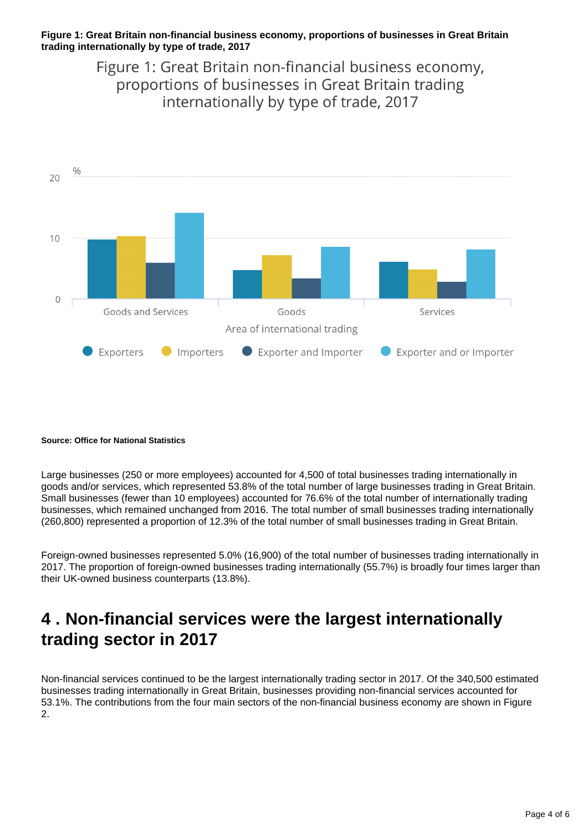#### **Figure 1: Great Britain non-financial business economy, proportions of businesses in Great Britain trading internationally by type of trade, 2017**

Figure 1: Great Britain non-financial business economy, proportions of businesses in Great Britain trading internationally by type of trade, 2017



#### **Source: Office for National Statistics**

Large businesses (250 or more employees) accounted for 4,500 of total businesses trading internationally in goods and/or services, which represented 53.8% of the total number of large businesses trading in Great Britain. Small businesses (fewer than 10 employees) accounted for 76.6% of the total number of internationally trading businesses, which remained unchanged from 2016. The total number of small businesses trading internationally (260,800) represented a proportion of 12.3% of the total number of small businesses trading in Great Britain.

Foreign-owned businesses represented 5.0% (16,900) of the total number of businesses trading internationally in 2017. The proportion of foreign-owned businesses trading internationally (55.7%) is broadly four times larger than their UK-owned business counterparts (13.8%).

### <span id="page-3-0"></span>**4 . Non-financial services were the largest internationally trading sector in 2017**

Non-financial services continued to be the largest internationally trading sector in 2017. Of the 340,500 estimated businesses trading internationally in Great Britain, businesses providing non-financial services accounted for 53.1%. The contributions from the four main sectors of the non-financial business economy are shown in Figure 2.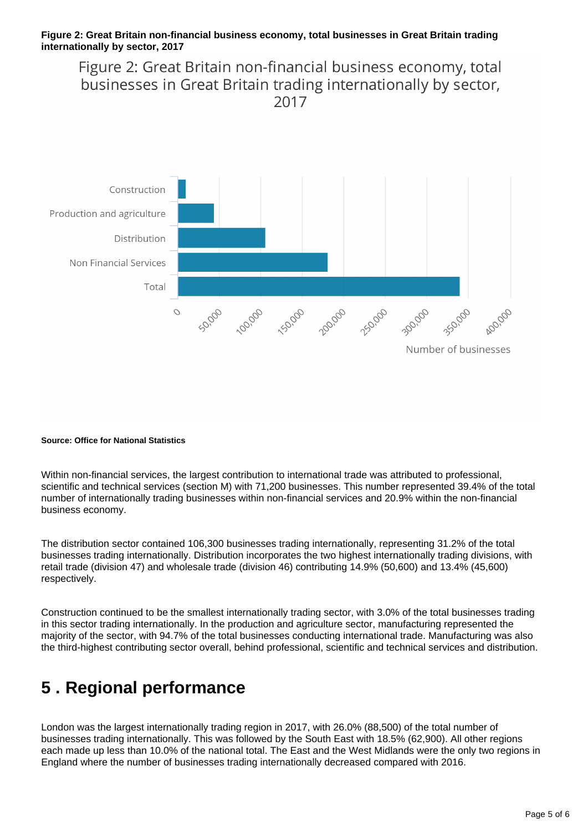#### **Figure 2: Great Britain non-financial business economy, total businesses in Great Britain trading internationally by sector, 2017**

Figure 2: Great Britain non-financial business economy, total businesses in Great Britain trading internationally by sector, 2017



#### **Source: Office for National Statistics**

Within non-financial services, the largest contribution to international trade was attributed to professional, scientific and technical services (section M) with 71,200 businesses. This number represented 39.4% of the total number of internationally trading businesses within non-financial services and 20.9% within the non-financial business economy.

The distribution sector contained 106,300 businesses trading internationally, representing 31.2% of the total businesses trading internationally. Distribution incorporates the two highest internationally trading divisions, with retail trade (division 47) and wholesale trade (division 46) contributing 14.9% (50,600) and 13.4% (45,600) respectively.

Construction continued to be the smallest internationally trading sector, with 3.0% of the total businesses trading in this sector trading internationally. In the production and agriculture sector, manufacturing represented the majority of the sector, with 94.7% of the total businesses conducting international trade. Manufacturing was also the third-highest contributing sector overall, behind professional, scientific and technical services and distribution.

### <span id="page-4-0"></span>**5 . Regional performance**

London was the largest internationally trading region in 2017, with 26.0% (88,500) of the total number of businesses trading internationally. This was followed by the South East with 18.5% (62,900). All other regions each made up less than 10.0% of the national total. The East and the West Midlands were the only two regions in England where the number of businesses trading internationally decreased compared with 2016.